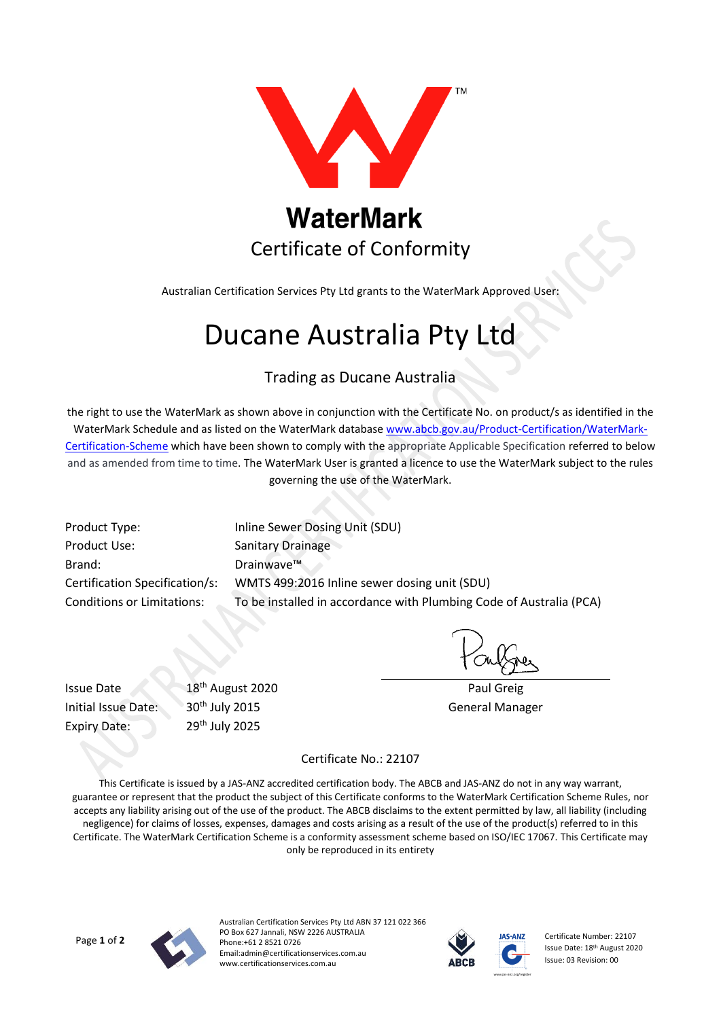

Australian Certification Services Pty Ltd grants to the WaterMark Approved User:

# Ducane Australia Pty Ltd

### Trading as Ducane Australia

the right to use the WaterMark as shown above in conjunction with the Certificate No. on product/s as identified in the WaterMark Schedule and as listed on the WaterMark database [www.abcb.gov.au/Product-Certification/WaterMark-](http://www.abcb.gov.au/Product-Certification/WaterMark-Certification-Scheme)[Certification-Scheme](http://www.abcb.gov.au/Product-Certification/WaterMark-Certification-Scheme) which have been shown to comply with the appropriate Applicable Specification referred to below and as amended from time to time. The WaterMark User is granted a licence to use the WaterMark subject to the rules governing the use of the WaterMark.

Product Use: Sanitary Drainage Brand: Drainwave<sup>™</sup>

Product Type: Inline Sewer Dosing Unit (SDU) Certification Specification/s: WMTS 499:2016 Inline sewer dosing unit (SDU) Conditions or Limitations: To be installed in accordance with Plumbing Code of Australia (PCA)

Expiry Date: 29<sup>th</sup> July 2025

Issue Date 2020 Paul Greig Initial Issue Date: 30<sup>th</sup> July 2015 **General Manager** 

#### Certificate No.: 22107

This Certificate is issued by a JAS-ANZ accredited certification body. The ABCB and JAS-ANZ do not in any way warrant, guarantee or represent that the product the subject of this Certificate conforms to the WaterMark Certification Scheme Rules, nor accepts any liability arising out of the use of the product. The ABCB disclaims to the extent permitted by law, all liability (including negligence) for claims of losses, expenses, damages and costs arising as a result of the use of the product(s) referred to in this Certificate. The WaterMark Certification Scheme is a conformity assessment scheme based on ISO/IEC 17067. This Certificate may only be reproduced in its entirety



Australian Certification Services Pty Ltd ABN 37 121 022 366 PO Box 627 Jannali, NSW 2226 AUSTRALIA Phone:+61 2 8521 0726 Email:admin@certificationservices.com.au www.certificationservices.com.au



Certificate Number: 22107 Issue Date: 18th August 2020 Issue: 03 Revision: 00